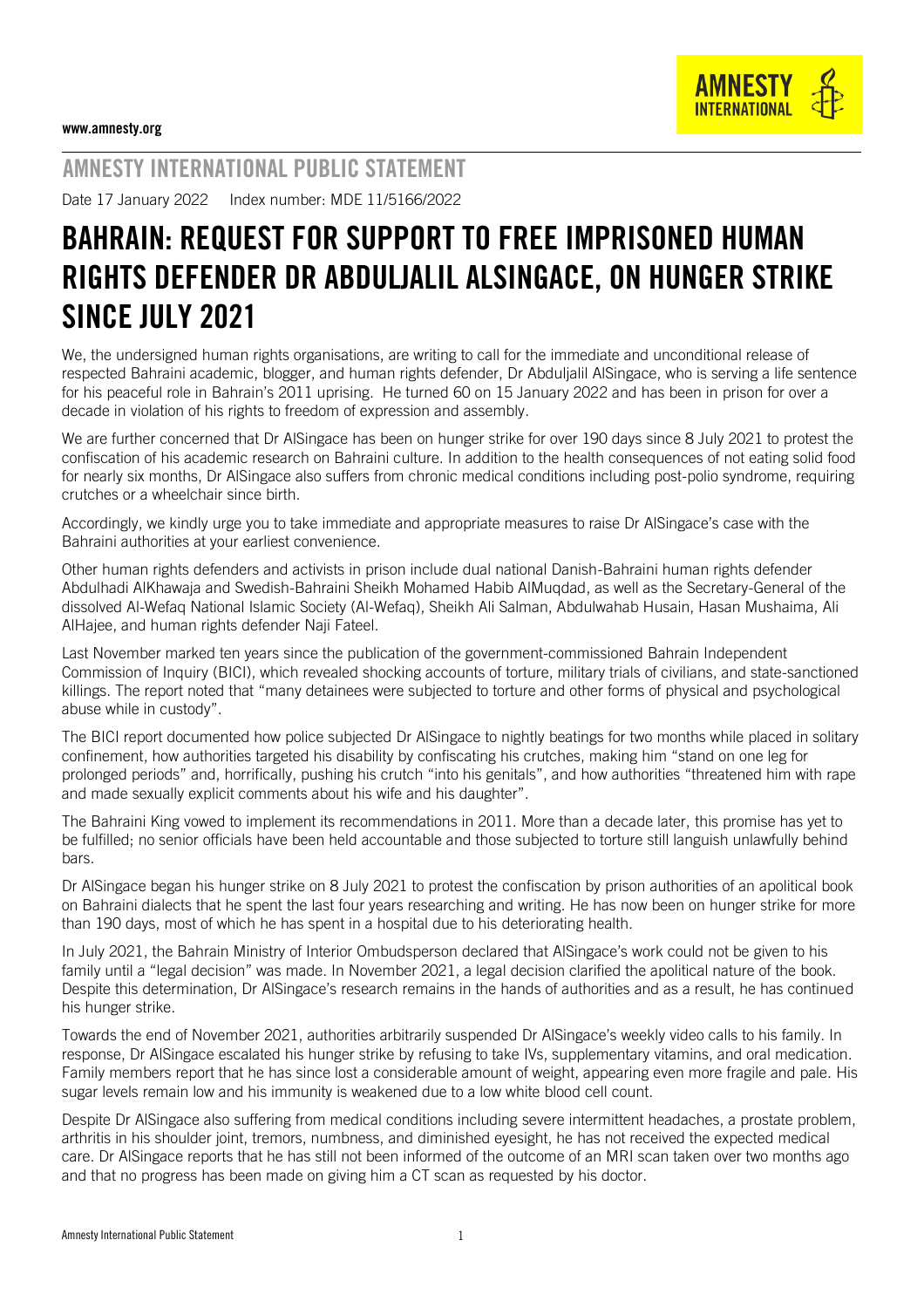

## AMNESTY INTERNATIONAL PUBLIC STATEMENT

Date 17 January 2022 Index number: MDE 11/5166/2022

## BAHRAIN: REQUEST FOR SUPPORT TO FREE IMPRISONED HUMAN RIGHTS DEFENDER DR ABDULJALIL ALSINGACE, ON HUNGER STRIKE SINCE JULY 2021

We, the undersigned human rights organisations, are writing to call for the immediate and unconditional release of respected Bahraini academic, [blogger,](https://cpj.org/data/people/abduljalil-alsingace/) and human rights defender, Dr Abduljalil AlSingace, who is serving a life sentence for his peaceful role in Bahrain's 2011 uprising. He turned 60 on 15 January 2022 and has been in prison for over a decade in violation of his rights to freedom of expression and assembly.

We are further concerned that Dr AlSingace has been on hunger strike for over 190 days since 8 July 2021 to protest the confiscation of his academic research on Bahraini culture. In addition to the health consequences of not eating solid food for nearly six months, Dr AlSingace also suffers from chronic medical conditions including post-polio syndrome, requiring crutches or a wheelchair since birth.

Accordingly, we kindly urge you to take immediate and appropriate measures to raise Dr AlSingace's case with the Bahraini authorities at your earliest convenience.

Other human rights defenders and activists in prison include dual national Danish-Bahraini human rights defender [Abdulhadi AlKhawaja](https://www.gc4hr.org/news/view/2907) and Swedish-Bahraini Sheikh Mohamed Habib AlMuqdad, as well as the Secretary-General of the dissolved Al-Wefaq National Islamic Society (Al-Wefaq), Sheikh Ali Salman, Abdulwahab Husain, Hasan Mushaima, Ali AlHajee, and human rights defender Naji Fateel.

Last November marked ten years since the publication of the government-commissione[d](https://www.bici.org.bh/BICIreportEN.pdf) [Bahrain Independent](https://www.bici.org.bh/BICIreportEN.pdf)  [Commission of Inquiry](https://www.bici.org.bh/BICIreportEN.pdf) (BICI), which [revealed](https://www.bici.org.bh/indexcbb2.html?news=%25D8%25A7%25D9%2584%25D8%25B9%25D8%25B1%25D8%25A8%25D9%258A%25D8%25A9-%25D8%25AE%25D8%25B7%25D8%25A7%25D8%25A8-%25D8%25A7%25D9%2584%25D8%25A7%25D8%25B3%25D8%25AA%25D8%25A7%25D8%25B0-%25D9%2585%25D8%25AD%25D9%2585%25D9%2588%25D8%25AF-%25D8%25B4%25D8%25B1%25D9%258A%25D9%2581-%25D8%25A8%25D8%25B3%25D9%258A%25D9%2588%25D9%2586) shocking accounts of torture, military trials of civilians, and state-sanctioned killings. The report noted that "many detainees were subjected to torture and other forms of physical and psychological abuse while in custody".

The BICI report documented how police subjected Dr AlSingace to nightly beatings for two months while placed in solitary confinement, how authorities targeted his disability by confiscating his crutches, making him "stand on one leg for prolonged periods" and, horrifically, pushing his crutch "into his genitals", and how authorities "threatened him with rape and made sexually explicit comments about his wife and his daughter".

The Bahraini King vowed to implement its recommendations in 2011. More than a decade later, this promise has yet to be fulfilled; no senior officials have been held accountable and those subjected to torture still languish unlawfully behind bars.

Dr AlSingace began his [hunger strike](https://birdbh.org/2021/08/timeline-dr-abduljalil-alsingaces-hunger-strike/) on 8 July 2021 to protest the confiscation by prison authorities of an apolitical book on Bahraini dialects that he spent the last four years researching and writing. He has now been on hunger strike for more than 190 days, most of which he has spent in a hospital due to his [deteriorating](https://twitter.com/aibahrain/status/1479413149749194754) health.

In July 2021, the Bahrain Ministry of Interior Ombudsperson [declared](https://www.ombudsman.bh/en/news/latest-news/the-independent-ombudsman-office-reveals-the-results-of-its-investigations-into-the-case-of-an-inmat) that AlSingace's work could not be given to his family until a "legal decision" was made. In November 2021, a legal decision clarified the apolitical nature of the book. Despite this determination, Dr AlSingace's research remains in the hands of authorities and as a result, he has continued his hunger strike.

Towards the end of November 2021, authorities arbitrarily suspended Dr AlSingace's weekly video calls to his family. In response, Dr AlSingace escalated his hunger strike by refusing to take IVs, supplementary vitamins, and oral medication. Family members report that he has since lost a considerable amount of weight, appearing even more fragile and pale. His sugar levels remain low and his immunity is weakened due to a low white blood cell count.

Despite Dr AlSingace also suffering from medical conditions including severe intermittent headaches, a prostate problem, arthritis in his shoulder joint, tremors, numbness, and diminished eyesight, he has not received the expected medical care. Dr AlSingace reports that he has still not been informed of the outcome of an MRI scan taken over two months ago and that no progress has been made on giving him a CT scan as requested by his doctor.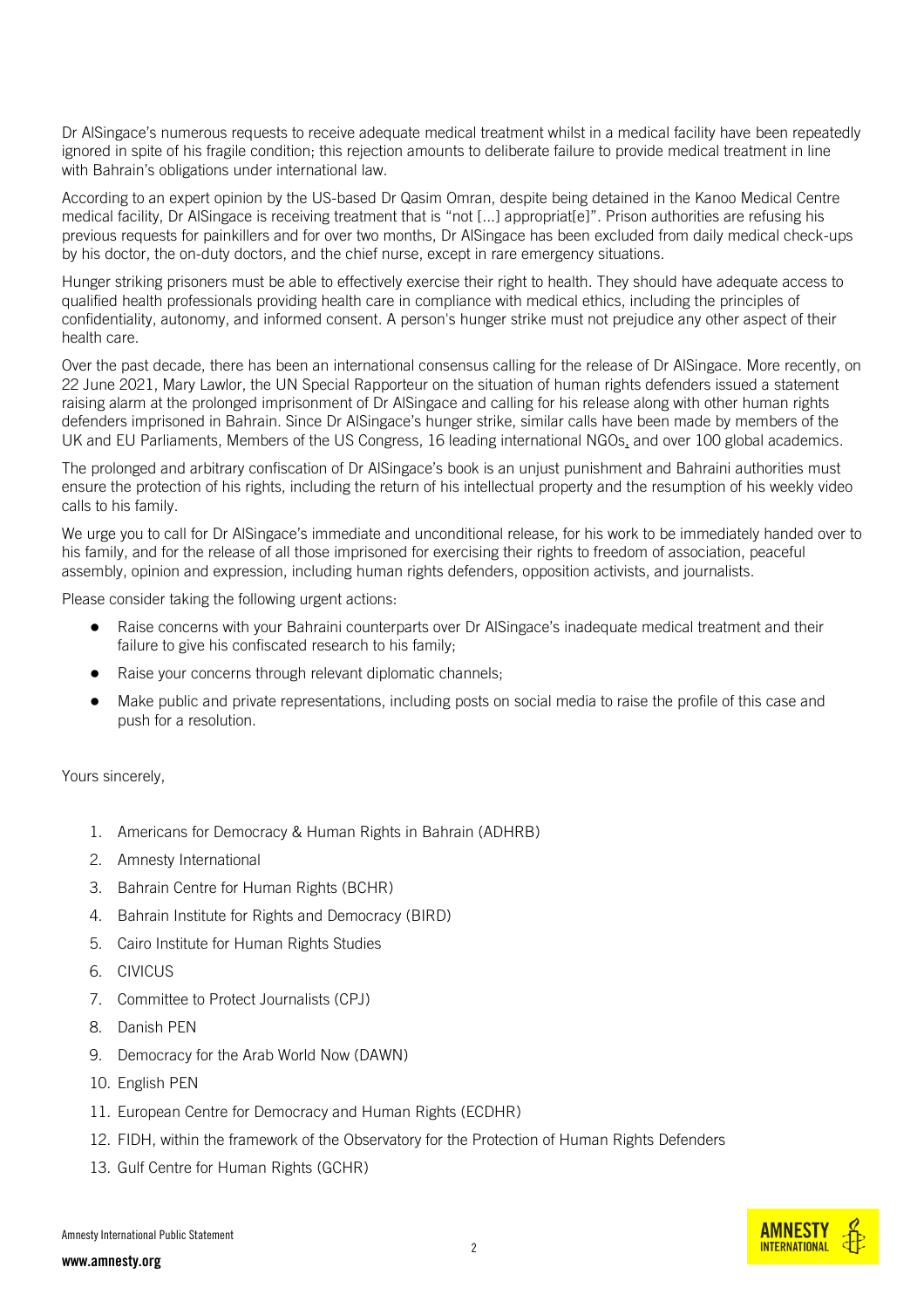Dr AlSingace's numerous requests to receive adequate medical treatment whilst in a medical facility have been repeatedly ignored in spite of his fragile condition; this rejection amounts to deliberate failure to provide medical treatment in line with Bahrain's obligations under international law.

According to an expert opinion by the US-based Dr Qasim Omran, despite being detained in the Kanoo Medical Centre medical facility, Dr AlSingace is receiving treatment that is "not [...] appropriat[e]". Prison authorities are refusing his previous requests for painkillers and for over two months, Dr AlSingace has been excluded from daily medical check-ups by his doctor, the on-duty doctors, and the chief nurse, except in rare emergency situations.

Hunger striking prisoners must be able to effectively exercise their right to health. They should have adequate access to qualified health professionals providing health care in compliance with medical ethics, including the principles of confidentiality, autonomy, and informed consent. A person's hunger strike must not prejudice any other aspect of their health care.

Over the past decade, there has been an international consensus calling for the release of Dr AlSingace. More recently, on 22 June 2021, Mary Lawlor, the UN Special Rapporteur on the situation of human rights defenders issued a [statement](https://www.ohchr.org/EN/NewsEvents/Pages/DisplayNews.aspx?NewsID=27190&LangID=E) raising alarm at the prolonged imprisonment of Dr AlSingace and calling for his release along with other human rights defenders imprisoned in Bahrain. Since Dr AlSingace's hunger strike, similar calls have been made by members of the [UK](https://twitter.com/GwynneMP/status/1417052381322399753) and [EU Parliaments,](https://www.europarl.europa.eu/doceo/document/E-9-2021-004024_EN.html) Members of the US [Congress,](https://twitter.com/SenRubioPress/status/1456720626287317003) 16 leadin[g](https://www.amnesty.org/en/wp-content/uploads/2021/08/MDE1145292021ENGLISH.pdf) [international NGOs,](https://www.amnesty.org/en/wp-content/uploads/2021/08/MDE1145292021ENGLISH.pdf) and ove[r](http://theherald.newspaperdirect.com/epaper/iphone/homepage.aspx#_article983968cf-5521-4747-a593-032a57c81ec5/waarticle983968cf-5521-4747-a593-032a57c81ec5/983968cf-5521-4747-a593-032a57c81ec5//true/Bahrain) [100 global academics.](http://theherald.newspaperdirect.com/epaper/iphone/homepage.aspx#_article983968cf-5521-4747-a593-032a57c81ec5/waarticle983968cf-5521-4747-a593-032a57c81ec5/983968cf-5521-4747-a593-032a57c81ec5//true/Bahrain)

The prolonged and arbitrary confiscation of Dr AlSingace's book is an unjust punishment and Bahraini authorities must ensure the protection of his rights, including the return of his intellectual property and the resumption of his weekly video calls to his family.

We urge you to call for Dr AlSingace's immediate and unconditional release, for his work to be immediately handed over to his family, and for the release of all those imprisoned for exercising their rights to freedom of association, peaceful assembly, opinion and expression, including human rights defenders, opposition activists, and journalists.

Please consider taking the following urgent actions:

- Raise concerns with your Bahraini counterparts over Dr AlSingace's inadequate medical treatment and their failure to give his confiscated research to his family;
- Raise your concerns through relevant diplomatic channels;
- Make public and private representations, including posts on social media to raise the profile of this case and push for a resolution.

Yours sincerely,

- 1. Americans for Democracy & Human Rights in Bahrain (ADHRB)
- 2. Amnesty International
- 3. Bahrain Centre for Human Rights (BCHR)
- 4. Bahrain Institute for Rights and Democracy (BIRD)
- 5. Cairo Institute for Human Rights Studies
- 6. CIVICUS
- 7. Committee to Protect Journalists (CPJ)
- 8. Danish PEN
- 9. Democracy for the Arab World Now (DAWN)
- 10. English PEN
- 11. European Centre for Democracy and Human Rights (ECDHR)
- 12. FIDH, within the framework of the Observatory for the Protection of Human Rights Defenders
- 13. Gulf Centre for Human Rights (GCHR)